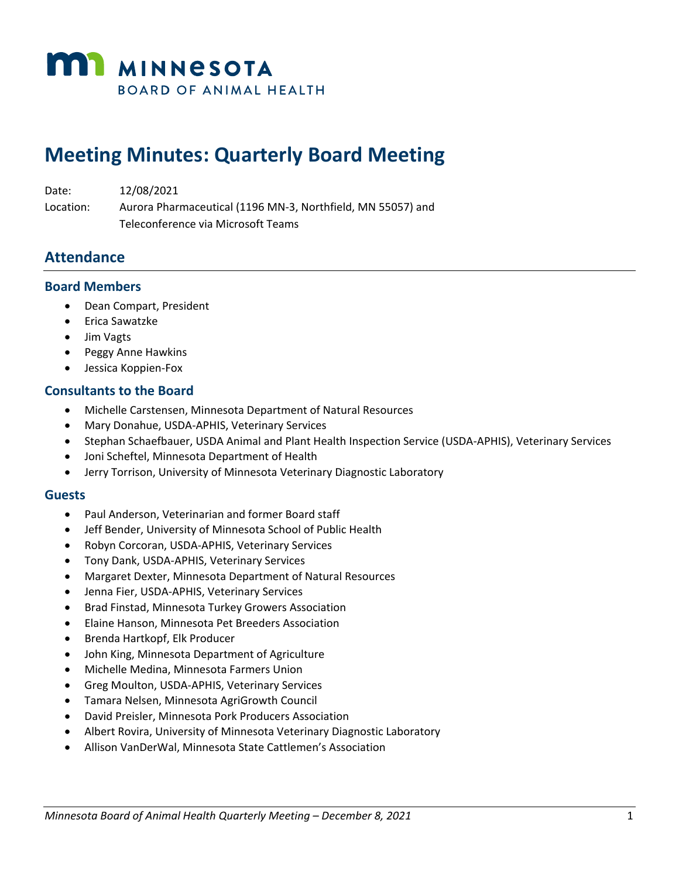

# **Meeting Minutes: Quarterly Board Meeting**

| Date:     | 12/08/2021                                                  |
|-----------|-------------------------------------------------------------|
| Location: | Aurora Pharmaceutical (1196 MN-3, Northfield, MN 55057) and |
|           | Teleconference via Microsoft Teams                          |

#### **Attendance**

#### **Board Members**

- Dean Compart, President
- Erica Sawatzke
- Jim Vagts
- Peggy Anne Hawkins
- Jessica Koppien-Fox

#### **Consultants to the Board**

- Michelle Carstensen, Minnesota Department of Natural Resources
- Mary Donahue, USDA-APHIS, Veterinary Services
- Stephan Schaefbauer, USDA Animal and Plant Health Inspection Service (USDA-APHIS), Veterinary Services
- Joni Scheftel, Minnesota Department of Health
- Jerry Torrison, University of Minnesota Veterinary Diagnostic Laboratory

#### **Guests**

- Paul Anderson, Veterinarian and former Board staff
- Jeff Bender, University of Minnesota School of Public Health
- Robyn Corcoran, USDA-APHIS, Veterinary Services
- Tony Dank, USDA-APHIS, Veterinary Services
- Margaret Dexter, Minnesota Department of Natural Resources
- Jenna Fier, USDA-APHIS, Veterinary Services
- Brad Finstad, Minnesota Turkey Growers Association
- Elaine Hanson, Minnesota Pet Breeders Association
- Brenda Hartkopf, Elk Producer
- John King, Minnesota Department of Agriculture
- Michelle Medina, Minnesota Farmers Union
- Greg Moulton, USDA-APHIS, Veterinary Services
- Tamara Nelsen, Minnesota AgriGrowth Council
- David Preisler, Minnesota Pork Producers Association
- Albert Rovira, University of Minnesota Veterinary Diagnostic Laboratory
- Allison VanDerWal, Minnesota State Cattlemen's Association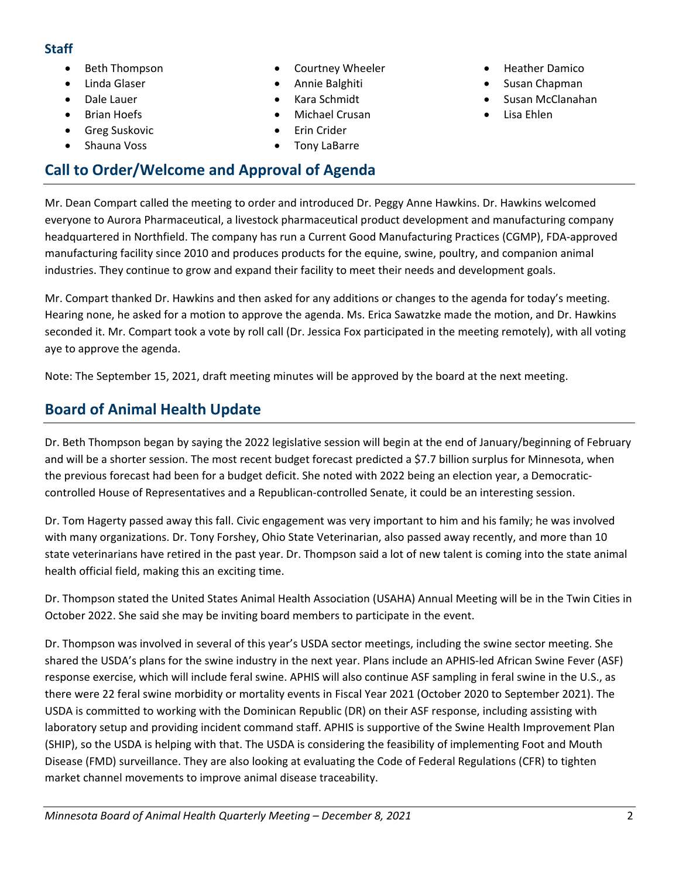#### **Staff**

- Beth Thompson
- Linda Glaser
- Dale Lauer
- Brian Hoefs
- Greg Suskovic
- Shauna Voss
- Courtney Wheeler
- Annie Balghiti
- Kara Schmidt
- Michael Crusan
- Erin Crider
- Tony LaBarre
- Heather Damico
- Susan Chapman
- Susan McClanahan
- Lisa Ehlen

#### Mr. Dean Compart called the meeting to order and introduced Dr. Peggy Anne Hawkins. Dr. Hawkins welcomed everyone to Aurora Pharmaceutical, a livestock pharmaceutical product development and manufacturing company headquartered in Northfield. The company has run a Current Good Manufacturing Practices (CGMP), FDA-approved manufacturing facility since 2010 and produces products for the equine, swine, poultry, and companion animal industries. They continue to grow and expand their facility to meet their needs and development goals.

Mr. Compart thanked Dr. Hawkins and then asked for any additions or changes to the agenda for today's meeting. Hearing none, he asked for a motion to approve the agenda. Ms. Erica Sawatzke made the motion, and Dr. Hawkins seconded it. Mr. Compart took a vote by roll call (Dr. Jessica Fox participated in the meeting remotely), with all voting aye to approve the agenda.

Note: The September 15, 2021, draft meeting minutes will be approved by the board at the next meeting.

# **Board of Animal Health Update**

**Call to Order/Welcome and Approval of Agenda**

Dr. Beth Thompson began by saying the 2022 legislative session will begin at the end of January/beginning of February and will be a shorter session. The most recent budget forecast predicted a \$7.7 billion surplus for Minnesota, when the previous forecast had been for a budget deficit. She noted with 2022 being an election year, a Democraticcontrolled House of Representatives and a Republican-controlled Senate, it could be an interesting session.

Dr. Tom Hagerty passed away this fall. Civic engagement was very important to him and his family; he was involved with many organizations. Dr. Tony Forshey, Ohio State Veterinarian, also passed away recently, and more than 10 state veterinarians have retired in the past year. Dr. Thompson said a lot of new talent is coming into the state animal health official field, making this an exciting time.

Dr. Thompson stated the United States Animal Health Association (USAHA) Annual Meeting will be in the Twin Cities in October 2022. She said she may be inviting board members to participate in the event.

Dr. Thompson was involved in several of this year's USDA sector meetings, including the swine sector meeting. She shared the USDA's plans for the swine industry in the next year. Plans include an APHIS-led African Swine Fever (ASF) response exercise, which will include feral swine. APHIS will also continue ASF sampling in feral swine in the U.S., as there were 22 feral swine morbidity or mortality events in Fiscal Year 2021 (October 2020 to September 2021). The USDA is committed to working with the Dominican Republic (DR) on their ASF response, including assisting with laboratory setup and providing incident command staff. APHIS is supportive of the Swine Health Improvement Plan (SHIP), so the USDA is helping with that. The USDA is considering the feasibility of implementing Foot and Mouth Disease (FMD) surveillance. They are also looking at evaluating the Code of Federal Regulations (CFR) to tighten market channel movements to improve animal disease traceability.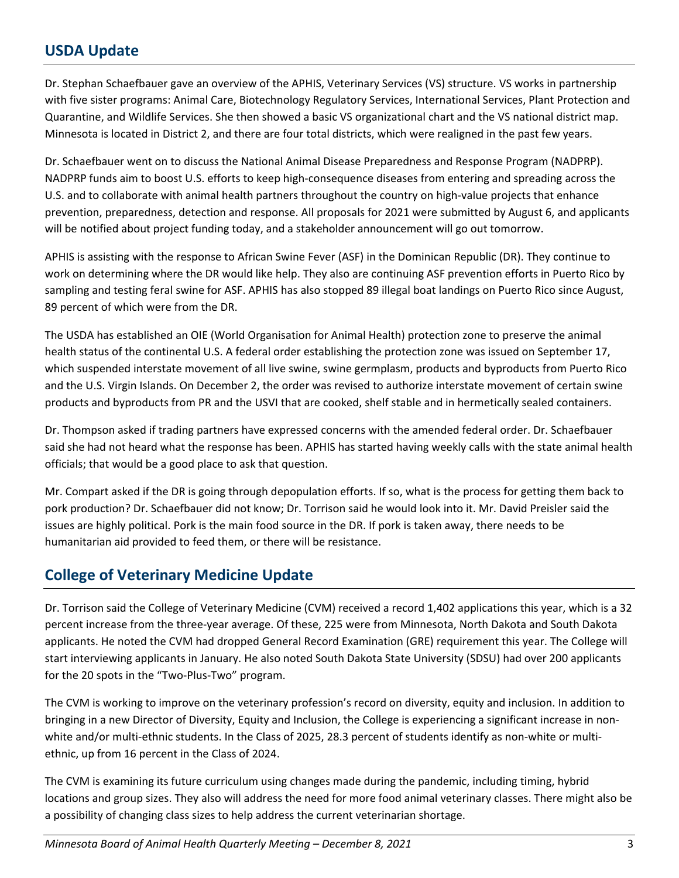### **USDA Update**

Dr. Stephan Schaefbauer gave an overview of the APHIS, Veterinary Services (VS) structure. VS works in partnership with five sister programs: Animal Care, Biotechnology Regulatory Services, International Services, Plant Protection and Quarantine, and Wildlife Services. She then showed a basic VS organizational chart and the VS national district map. Minnesota is located in District 2, and there are four total districts, which were realigned in the past few years.

Dr. Schaefbauer went on to discuss the National Animal Disease Preparedness and Response Program (NADPRP). NADPRP funds aim to boost U.S. efforts to keep high-consequence diseases from entering and spreading across the U.S. and to collaborate with animal health partners throughout the country on high-value projects that enhance prevention, preparedness, detection and response. All proposals for 2021 were submitted by August 6, and applicants will be notified about project funding today, and a stakeholder announcement will go out tomorrow.

APHIS is assisting with the response to African Swine Fever (ASF) in the Dominican Republic (DR). They continue to work on determining where the DR would like help. They also are continuing ASF prevention efforts in Puerto Rico by sampling and testing feral swine for ASF. APHIS has also stopped 89 illegal boat landings on Puerto Rico since August, 89 percent of which were from the DR.

The USDA has established an OIE (World Organisation for Animal Health) protection zone to preserve the animal health status of the continental U.S. A federal order establishing the protection zone was issued on September 17, which suspended interstate movement of all live swine, swine germplasm, products and byproducts from Puerto Rico and the U.S. Virgin Islands. On December 2, the order was revised to authorize interstate movement of certain swine products and byproducts from PR and the USVI that are cooked, shelf stable and in hermetically sealed containers.

Dr. Thompson asked if trading partners have expressed concerns with the amended federal order. Dr. Schaefbauer said she had not heard what the response has been. APHIS has started having weekly calls with the state animal health officials; that would be a good place to ask that question.

Mr. Compart asked if the DR is going through depopulation efforts. If so, what is the process for getting them back to pork production? Dr. Schaefbauer did not know; Dr. Torrison said he would look into it. Mr. David Preisler said the issues are highly political. Pork is the main food source in the DR. If pork is taken away, there needs to be humanitarian aid provided to feed them, or there will be resistance.

#### **College of Veterinary Medicine Update**

Dr. Torrison said the College of Veterinary Medicine (CVM) received a record 1,402 applications this year, which is a 32 percent increase from the three-year average. Of these, 225 were from Minnesota, North Dakota and South Dakota applicants. He noted the CVM had dropped General Record Examination (GRE) requirement this year. The College will start interviewing applicants in January. He also noted South Dakota State University (SDSU) had over 200 applicants for the 20 spots in the "Two-Plus-Two" program.

The CVM is working to improve on the veterinary profession's record on diversity, equity and inclusion. In addition to bringing in a new Director of Diversity, Equity and Inclusion, the College is experiencing a significant increase in nonwhite and/or multi-ethnic students. In the Class of 2025, 28.3 percent of students identify as non-white or multiethnic, up from 16 percent in the Class of 2024.

The CVM is examining its future curriculum using changes made during the pandemic, including timing, hybrid locations and group sizes. They also will address the need for more food animal veterinary classes. There might also be a possibility of changing class sizes to help address the current veterinarian shortage.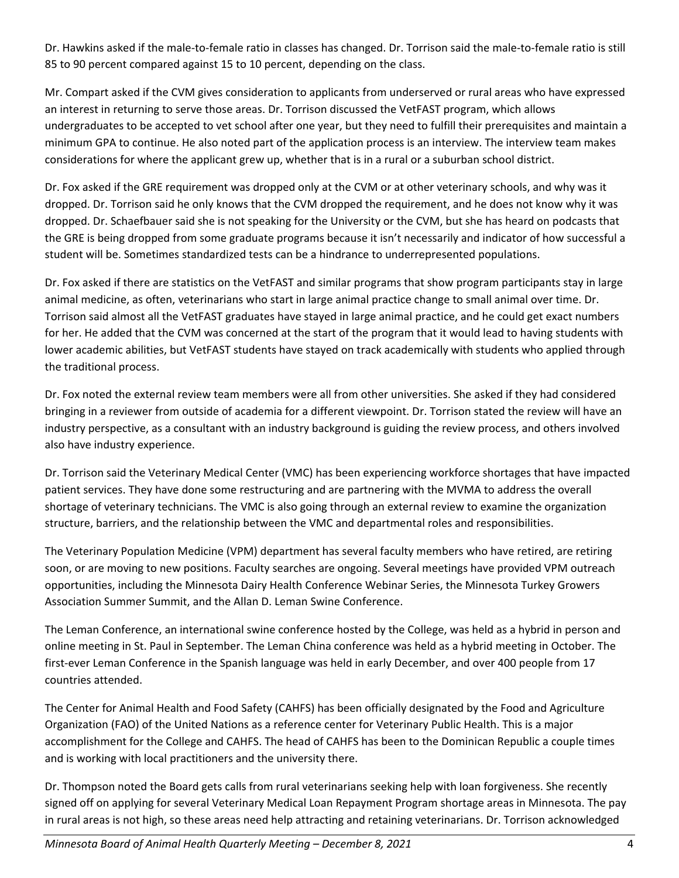Dr. Hawkins asked if the male-to-female ratio in classes has changed. Dr. Torrison said the male-to-female ratio is still 85 to 90 percent compared against 15 to 10 percent, depending on the class.

Mr. Compart asked if the CVM gives consideration to applicants from underserved or rural areas who have expressed an interest in returning to serve those areas. Dr. Torrison discussed the VetFAST program, which allows undergraduates to be accepted to vet school after one year, but they need to fulfill their prerequisites and maintain a minimum GPA to continue. He also noted part of the application process is an interview. The interview team makes considerations for where the applicant grew up, whether that is in a rural or a suburban school district.

Dr. Fox asked if the GRE requirement was dropped only at the CVM or at other veterinary schools, and why was it dropped. Dr. Torrison said he only knows that the CVM dropped the requirement, and he does not know why it was dropped. Dr. Schaefbauer said she is not speaking for the University or the CVM, but she has heard on podcasts that the GRE is being dropped from some graduate programs because it isn't necessarily and indicator of how successful a student will be. Sometimes standardized tests can be a hindrance to underrepresented populations.

Dr. Fox asked if there are statistics on the VetFAST and similar programs that show program participants stay in large animal medicine, as often, veterinarians who start in large animal practice change to small animal over time. Dr. Torrison said almost all the VetFAST graduates have stayed in large animal practice, and he could get exact numbers for her. He added that the CVM was concerned at the start of the program that it would lead to having students with lower academic abilities, but VetFAST students have stayed on track academically with students who applied through the traditional process.

Dr. Fox noted the external review team members were all from other universities. She asked if they had considered bringing in a reviewer from outside of academia for a different viewpoint. Dr. Torrison stated the review will have an industry perspective, as a consultant with an industry background is guiding the review process, and others involved also have industry experience.

Dr. Torrison said the Veterinary Medical Center (VMC) has been experiencing workforce shortages that have impacted patient services. They have done some restructuring and are partnering with the MVMA to address the overall shortage of veterinary technicians. The VMC is also going through an external review to examine the organization structure, barriers, and the relationship between the VMC and departmental roles and responsibilities.

The Veterinary Population Medicine (VPM) department has several faculty members who have retired, are retiring soon, or are moving to new positions. Faculty searches are ongoing. Several meetings have provided VPM outreach opportunities, including the Minnesota Dairy Health Conference Webinar Series, the Minnesota Turkey Growers Association Summer Summit, and the Allan D. Leman Swine Conference.

The Leman Conference, an international swine conference hosted by the College, was held as a hybrid in person and online meeting in St. Paul in September. The Leman China conference was held as a hybrid meeting in October. The first-ever Leman Conference in the Spanish language was held in early December, and over 400 people from 17 countries attended.

The Center for Animal Health and Food Safety (CAHFS) has been officially designated by the Food and Agriculture Organization (FAO) of the United Nations as a reference center for Veterinary Public Health. This is a major accomplishment for the College and CAHFS. The head of CAHFS has been to the Dominican Republic a couple times and is working with local practitioners and the university there.

Dr. Thompson noted the Board gets calls from rural veterinarians seeking help with loan forgiveness. She recently signed off on applying for several Veterinary Medical Loan Repayment Program shortage areas in Minnesota. The pay in rural areas is not high, so these areas need help attracting and retaining veterinarians. Dr. Torrison acknowledged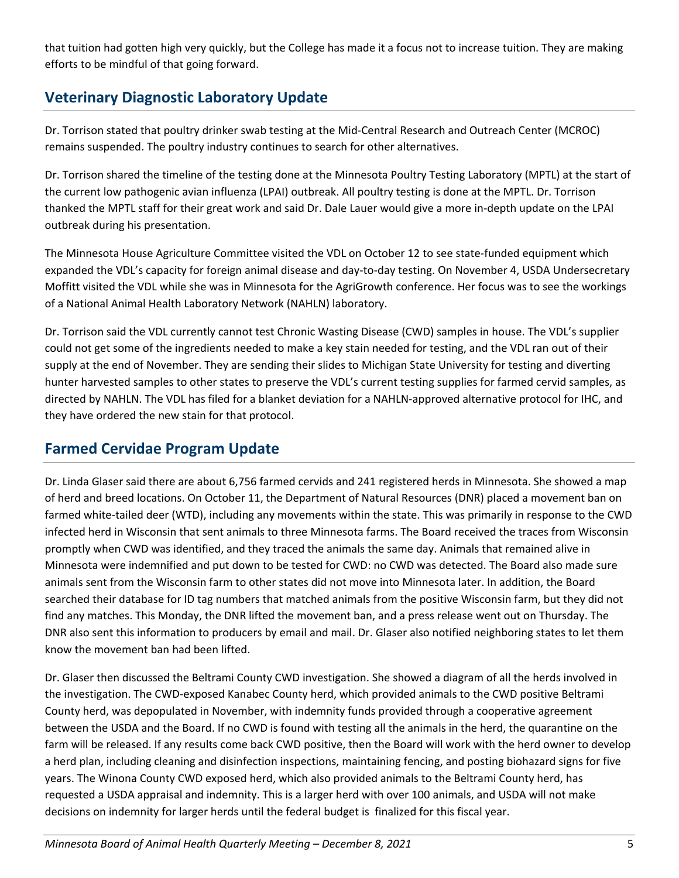that tuition had gotten high very quickly, but the College has made it a focus not to increase tuition. They are making efforts to be mindful of that going forward.

# **Veterinary Diagnostic Laboratory Update**

Dr. Torrison stated that poultry drinker swab testing at the Mid-Central Research and Outreach Center (MCROC) remains suspended. The poultry industry continues to search for other alternatives.

Dr. Torrison shared the timeline of the testing done at the Minnesota Poultry Testing Laboratory (MPTL) at the start of the current low pathogenic avian influenza (LPAI) outbreak. All poultry testing is done at the MPTL. Dr. Torrison thanked the MPTL staff for their great work and said Dr. Dale Lauer would give a more in-depth update on the LPAI outbreak during his presentation.

The Minnesota House Agriculture Committee visited the VDL on October 12 to see state-funded equipment which expanded the VDL's capacity for foreign animal disease and day-to-day testing. On November 4, USDA Undersecretary Moffitt visited the VDL while she was in Minnesota for the AgriGrowth conference. Her focus was to see the workings of a National Animal Health Laboratory Network (NAHLN) laboratory.

Dr. Torrison said the VDL currently cannot test Chronic Wasting Disease (CWD) samples in house. The VDL's supplier could not get some of the ingredients needed to make a key stain needed for testing, and the VDL ran out of their supply at the end of November. They are sending their slides to Michigan State University for testing and diverting hunter harvested samples to other states to preserve the VDL's current testing supplies for farmed cervid samples, as directed by NAHLN. The VDL has filed for a blanket deviation for a NAHLN-approved alternative protocol for IHC, and they have ordered the new stain for that protocol.

# **Farmed Cervidae Program Update**

Dr. Linda Glaser said there are about 6,756 farmed cervids and 241 registered herds in Minnesota. She showed a map of herd and breed locations. On October 11, the Department of Natural Resources (DNR) placed a movement ban on farmed white-tailed deer (WTD), including any movements within the state. This was primarily in response to the CWD infected herd in Wisconsin that sent animals to three Minnesota farms. The Board received the traces from Wisconsin promptly when CWD was identified, and they traced the animals the same day. Animals that remained alive in Minnesota were indemnified and put down to be tested for CWD: no CWD was detected. The Board also made sure animals sent from the Wisconsin farm to other states did not move into Minnesota later. In addition, the Board searched their database for ID tag numbers that matched animals from the positive Wisconsin farm, but they did not find any matches. This Monday, the DNR lifted the movement ban, and a press release went out on Thursday. The DNR also sent this information to producers by email and mail. Dr. Glaser also notified neighboring states to let them know the movement ban had been lifted.

Dr. Glaser then discussed the Beltrami County CWD investigation. She showed a diagram of all the herds involved in the investigation. The CWD-exposed Kanabec County herd, which provided animals to the CWD positive Beltrami County herd, was depopulated in November, with indemnity funds provided through a cooperative agreement between the USDA and the Board. If no CWD is found with testing all the animals in the herd, the quarantine on the farm will be released. If any results come back CWD positive, then the Board will work with the herd owner to develop a herd plan, including cleaning and disinfection inspections, maintaining fencing, and posting biohazard signs for five years. The Winona County CWD exposed herd, which also provided animals to the Beltrami County herd, has requested a USDA appraisal and indemnity. This is a larger herd with over 100 animals, and USDA will not make decisions on indemnity for larger herds until the federal budget is finalized for this fiscal year.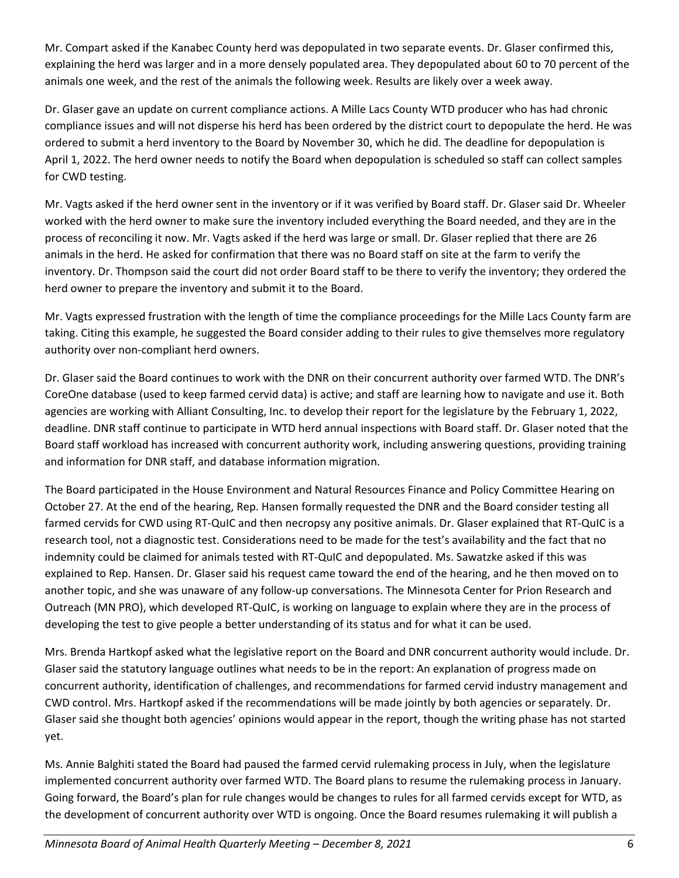Mr. Compart asked if the Kanabec County herd was depopulated in two separate events. Dr. Glaser confirmed this, explaining the herd was larger and in a more densely populated area. They depopulated about 60 to 70 percent of the animals one week, and the rest of the animals the following week. Results are likely over a week away.

Dr. Glaser gave an update on current compliance actions. A Mille Lacs County WTD producer who has had chronic compliance issues and will not disperse his herd has been ordered by the district court to depopulate the herd. He was ordered to submit a herd inventory to the Board by November 30, which he did. The deadline for depopulation is April 1, 2022. The herd owner needs to notify the Board when depopulation is scheduled so staff can collect samples for CWD testing.

Mr. Vagts asked if the herd owner sent in the inventory or if it was verified by Board staff. Dr. Glaser said Dr. Wheeler worked with the herd owner to make sure the inventory included everything the Board needed, and they are in the process of reconciling it now. Mr. Vagts asked if the herd was large or small. Dr. Glaser replied that there are 26 animals in the herd. He asked for confirmation that there was no Board staff on site at the farm to verify the inventory. Dr. Thompson said the court did not order Board staff to be there to verify the inventory; they ordered the herd owner to prepare the inventory and submit it to the Board.

Mr. Vagts expressed frustration with the length of time the compliance proceedings for the Mille Lacs County farm are taking. Citing this example, he suggested the Board consider adding to their rules to give themselves more regulatory authority over non-compliant herd owners.

Dr. Glaser said the Board continues to work with the DNR on their concurrent authority over farmed WTD. The DNR's CoreOne database (used to keep farmed cervid data) is active; and staff are learning how to navigate and use it. Both agencies are working with Alliant Consulting, Inc. to develop their report for the legislature by the February 1, 2022, deadline. DNR staff continue to participate in WTD herd annual inspections with Board staff. Dr. Glaser noted that the Board staff workload has increased with concurrent authority work, including answering questions, providing training and information for DNR staff, and database information migration.

The Board participated in the House Environment and Natural Resources Finance and Policy Committee Hearing on October 27. At the end of the hearing, Rep. Hansen formally requested the DNR and the Board consider testing all farmed cervids for CWD using RT-QuIC and then necropsy any positive animals. Dr. Glaser explained that RT-QuIC is a research tool, not a diagnostic test. Considerations need to be made for the test's availability and the fact that no indemnity could be claimed for animals tested with RT-QuIC and depopulated. Ms. Sawatzke asked if this was explained to Rep. Hansen. Dr. Glaser said his request came toward the end of the hearing, and he then moved on to another topic, and she was unaware of any follow-up conversations. The Minnesota Center for Prion Research and Outreach (MN PRO), which developed RT-QuIC, is working on language to explain where they are in the process of developing the test to give people a better understanding of its status and for what it can be used.

Mrs. Brenda Hartkopf asked what the legislative report on the Board and DNR concurrent authority would include. Dr. Glaser said the statutory language outlines what needs to be in the report: An explanation of progress made on concurrent authority, identification of challenges, and recommendations for farmed cervid industry management and CWD control. Mrs. Hartkopf asked if the recommendations will be made jointly by both agencies or separately. Dr. Glaser said she thought both agencies' opinions would appear in the report, though the writing phase has not started yet.

Ms. Annie Balghiti stated the Board had paused the farmed cervid rulemaking process in July, when the legislature implemented concurrent authority over farmed WTD. The Board plans to resume the rulemaking process in January. Going forward, the Board's plan for rule changes would be changes to rules for all farmed cervids except for WTD, as the development of concurrent authority over WTD is ongoing. Once the Board resumes rulemaking it will publish a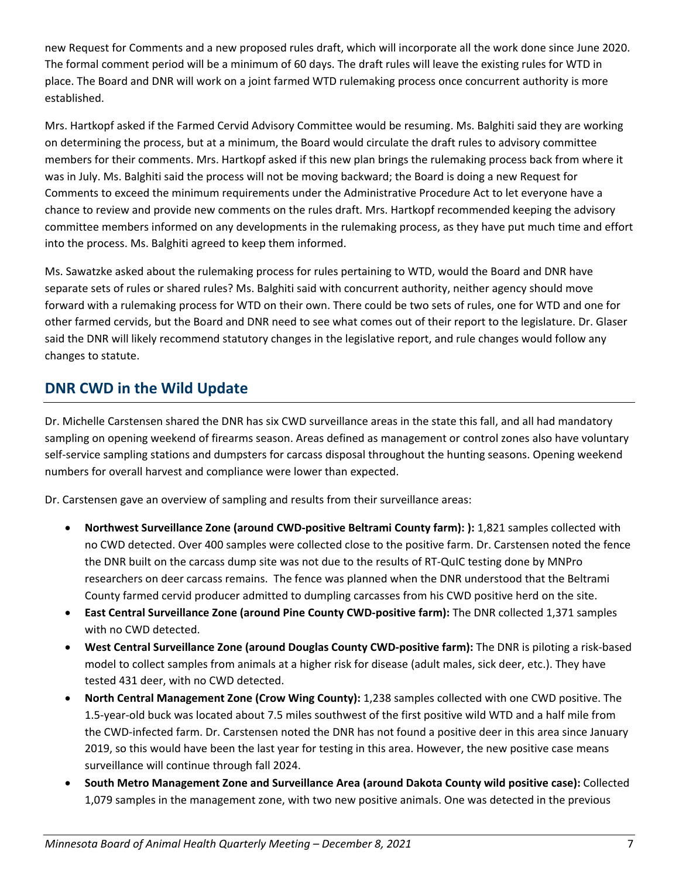new Request for Comments and a new proposed rules draft, which will incorporate all the work done since June 2020. The formal comment period will be a minimum of 60 days. The draft rules will leave the existing rules for WTD in place. The Board and DNR will work on a joint farmed WTD rulemaking process once concurrent authority is more established.

Mrs. Hartkopf asked if the Farmed Cervid Advisory Committee would be resuming. Ms. Balghiti said they are working on determining the process, but at a minimum, the Board would circulate the draft rules to advisory committee members for their comments. Mrs. Hartkopf asked if this new plan brings the rulemaking process back from where it was in July. Ms. Balghiti said the process will not be moving backward; the Board is doing a new Request for Comments to exceed the minimum requirements under the Administrative Procedure Act to let everyone have a chance to review and provide new comments on the rules draft. Mrs. Hartkopf recommended keeping the advisory committee members informed on any developments in the rulemaking process, as they have put much time and effort into the process. Ms. Balghiti agreed to keep them informed.

Ms. Sawatzke asked about the rulemaking process for rules pertaining to WTD, would the Board and DNR have separate sets of rules or shared rules? Ms. Balghiti said with concurrent authority, neither agency should move forward with a rulemaking process for WTD on their own. There could be two sets of rules, one for WTD and one for other farmed cervids, but the Board and DNR need to see what comes out of their report to the legislature. Dr. Glaser said the DNR will likely recommend statutory changes in the legislative report, and rule changes would follow any changes to statute.

### **DNR CWD in the Wild Update**

Dr. Michelle Carstensen shared the DNR has six CWD surveillance areas in the state this fall, and all had mandatory sampling on opening weekend of firearms season. Areas defined as management or control zones also have voluntary self-service sampling stations and dumpsters for carcass disposal throughout the hunting seasons. Opening weekend numbers for overall harvest and compliance were lower than expected.

Dr. Carstensen gave an overview of sampling and results from their surveillance areas:

- **Northwest Surveillance Zone (around CWD-positive Beltrami County farm): ):** 1,821 samples collected with no CWD detected. Over 400 samples were collected close to the positive farm. Dr. Carstensen noted the fence the DNR built on the carcass dump site was not due to the results of RT-QuIC testing done by MNPro researchers on deer carcass remains. The fence was planned when the DNR understood that the Beltrami County farmed cervid producer admitted to dumpling carcasses from his CWD positive herd on the site.
- **East Central Surveillance Zone (around Pine County CWD-positive farm):** The DNR collected 1,371 samples with no CWD detected.
- **West Central Surveillance Zone (around Douglas County CWD-positive farm):** The DNR is piloting a risk-based model to collect samples from animals at a higher risk for disease (adult males, sick deer, etc.). They have tested 431 deer, with no CWD detected.
- **North Central Management Zone (Crow Wing County):** 1,238 samples collected with one CWD positive. The 1.5-year-old buck was located about 7.5 miles southwest of the first positive wild WTD and a half mile from the CWD-infected farm. Dr. Carstensen noted the DNR has not found a positive deer in this area since January 2019, so this would have been the last year for testing in this area. However, the new positive case means surveillance will continue through fall 2024.
- **South Metro Management Zone and Surveillance Area (around Dakota County wild positive case):** Collected 1,079 samples in the management zone, with two new positive animals. One was detected in the previous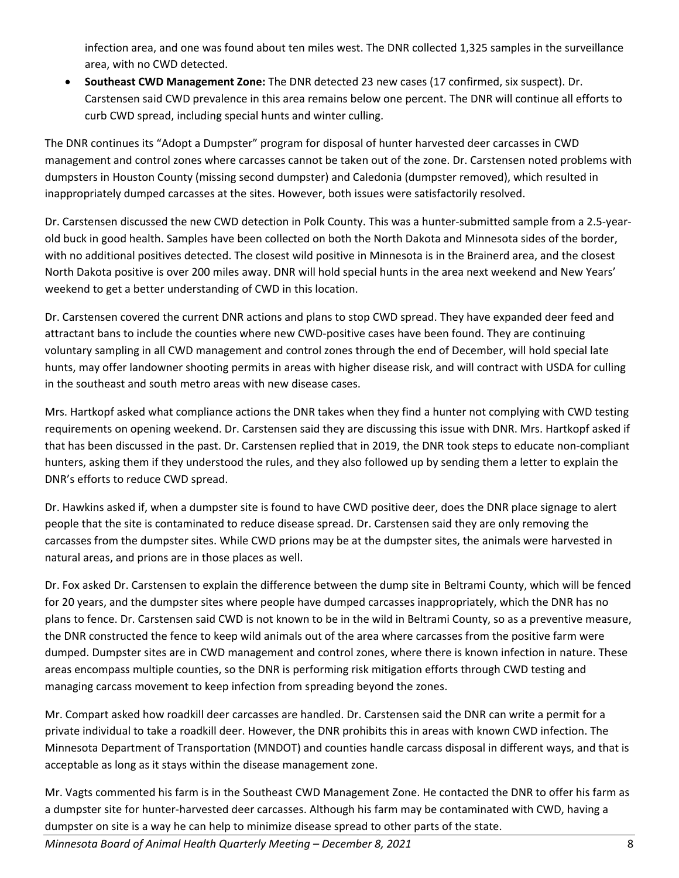infection area, and one was found about ten miles west. The DNR collected 1,325 samples in the surveillance area, with no CWD detected.

• **Southeast CWD Management Zone:** The DNR detected 23 new cases (17 confirmed, six suspect). Dr. Carstensen said CWD prevalence in this area remains below one percent. The DNR will continue all efforts to curb CWD spread, including special hunts and winter culling.

The DNR continues its "Adopt a Dumpster" program for disposal of hunter harvested deer carcasses in CWD management and control zones where carcasses cannot be taken out of the zone. Dr. Carstensen noted problems with dumpsters in Houston County (missing second dumpster) and Caledonia (dumpster removed), which resulted in inappropriately dumped carcasses at the sites. However, both issues were satisfactorily resolved.

Dr. Carstensen discussed the new CWD detection in Polk County. This was a hunter-submitted sample from a 2.5-yearold buck in good health. Samples have been collected on both the North Dakota and Minnesota sides of the border, with no additional positives detected. The closest wild positive in Minnesota is in the Brainerd area, and the closest North Dakota positive is over 200 miles away. DNR will hold special hunts in the area next weekend and New Years' weekend to get a better understanding of CWD in this location.

Dr. Carstensen covered the current DNR actions and plans to stop CWD spread. They have expanded deer feed and attractant bans to include the counties where new CWD-positive cases have been found. They are continuing voluntary sampling in all CWD management and control zones through the end of December, will hold special late hunts, may offer landowner shooting permits in areas with higher disease risk, and will contract with USDA for culling in the southeast and south metro areas with new disease cases.

Mrs. Hartkopf asked what compliance actions the DNR takes when they find a hunter not complying with CWD testing requirements on opening weekend. Dr. Carstensen said they are discussing this issue with DNR. Mrs. Hartkopf asked if that has been discussed in the past. Dr. Carstensen replied that in 2019, the DNR took steps to educate non-compliant hunters, asking them if they understood the rules, and they also followed up by sending them a letter to explain the DNR's efforts to reduce CWD spread.

Dr. Hawkins asked if, when a dumpster site is found to have CWD positive deer, does the DNR place signage to alert people that the site is contaminated to reduce disease spread. Dr. Carstensen said they are only removing the carcasses from the dumpster sites. While CWD prions may be at the dumpster sites, the animals were harvested in natural areas, and prions are in those places as well.

Dr. Fox asked Dr. Carstensen to explain the difference between the dump site in Beltrami County, which will be fenced for 20 years, and the dumpster sites where people have dumped carcasses inappropriately, which the DNR has no plans to fence. Dr. Carstensen said CWD is not known to be in the wild in Beltrami County, so as a preventive measure, the DNR constructed the fence to keep wild animals out of the area where carcasses from the positive farm were dumped. Dumpster sites are in CWD management and control zones, where there is known infection in nature. These areas encompass multiple counties, so the DNR is performing risk mitigation efforts through CWD testing and managing carcass movement to keep infection from spreading beyond the zones.

Mr. Compart asked how roadkill deer carcasses are handled. Dr. Carstensen said the DNR can write a permit for a private individual to take a roadkill deer. However, the DNR prohibits this in areas with known CWD infection. The Minnesota Department of Transportation (MNDOT) and counties handle carcass disposal in different ways, and that is acceptable as long as it stays within the disease management zone.

Mr. Vagts commented his farm is in the Southeast CWD Management Zone. He contacted the DNR to offer his farm as a dumpster site for hunter-harvested deer carcasses. Although his farm may be contaminated with CWD, having a dumpster on site is a way he can help to minimize disease spread to other parts of the state.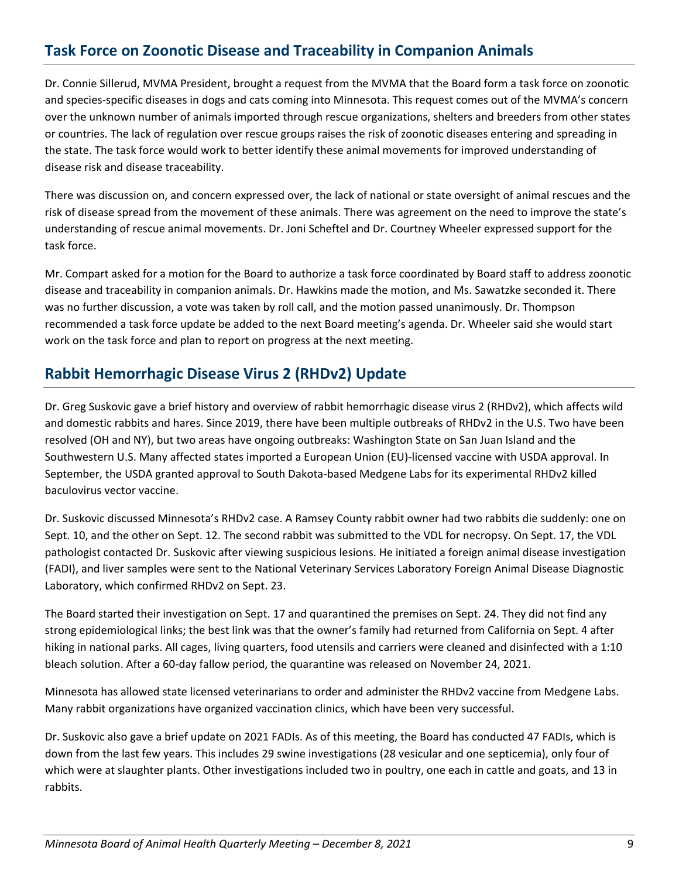# **Task Force on Zoonotic Disease and Traceability in Companion Animals**

Dr. Connie Sillerud, MVMA President, brought a request from the MVMA that the Board form a task force on zoonotic and species-specific diseases in dogs and cats coming into Minnesota. This request comes out of the MVMA's concern over the unknown number of animals imported through rescue organizations, shelters and breeders from other states or countries. The lack of regulation over rescue groups raises the risk of zoonotic diseases entering and spreading in the state. The task force would work to better identify these animal movements for improved understanding of disease risk and disease traceability.

There was discussion on, and concern expressed over, the lack of national or state oversight of animal rescues and the risk of disease spread from the movement of these animals. There was agreement on the need to improve the state's understanding of rescue animal movements. Dr. Joni Scheftel and Dr. Courtney Wheeler expressed support for the task force.

Mr. Compart asked for a motion for the Board to authorize a task force coordinated by Board staff to address zoonotic disease and traceability in companion animals. Dr. Hawkins made the motion, and Ms. Sawatzke seconded it. There was no further discussion, a vote was taken by roll call, and the motion passed unanimously. Dr. Thompson recommended a task force update be added to the next Board meeting's agenda. Dr. Wheeler said she would start work on the task force and plan to report on progress at the next meeting.

### **Rabbit Hemorrhagic Disease Virus 2 (RHDv2) Update**

Dr. Greg Suskovic gave a brief history and overview of rabbit hemorrhagic disease virus 2 (RHDv2), which affects wild and domestic rabbits and hares. Since 2019, there have been multiple outbreaks of RHDv2 in the U.S. Two have been resolved (OH and NY), but two areas have ongoing outbreaks: Washington State on San Juan Island and the Southwestern U.S. Many affected states imported a European Union (EU)-licensed vaccine with USDA approval. In September, the USDA granted approval to South Dakota-based Medgene Labs for its experimental RHDv2 killed baculovirus vector vaccine.

Dr. Suskovic discussed Minnesota's RHDv2 case. A Ramsey County rabbit owner had two rabbits die suddenly: one on Sept. 10, and the other on Sept. 12. The second rabbit was submitted to the VDL for necropsy. On Sept. 17, the VDL pathologist contacted Dr. Suskovic after viewing suspicious lesions. He initiated a foreign animal disease investigation (FADI), and liver samples were sent to the National Veterinary Services Laboratory Foreign Animal Disease Diagnostic Laboratory, which confirmed RHDv2 on Sept. 23.

The Board started their investigation on Sept. 17 and quarantined the premises on Sept. 24. They did not find any strong epidemiological links; the best link was that the owner's family had returned from California on Sept. 4 after hiking in national parks. All cages, living quarters, food utensils and carriers were cleaned and disinfected with a 1:10 bleach solution. After a 60-day fallow period, the quarantine was released on November 24, 2021.

Minnesota has allowed state licensed veterinarians to order and administer the RHDv2 vaccine from Medgene Labs. Many rabbit organizations have organized vaccination clinics, which have been very successful.

Dr. Suskovic also gave a brief update on 2021 FADIs. As of this meeting, the Board has conducted 47 FADIs, which is down from the last few years. This includes 29 swine investigations (28 vesicular and one septicemia), only four of which were at slaughter plants. Other investigations included two in poultry, one each in cattle and goats, and 13 in rabbits.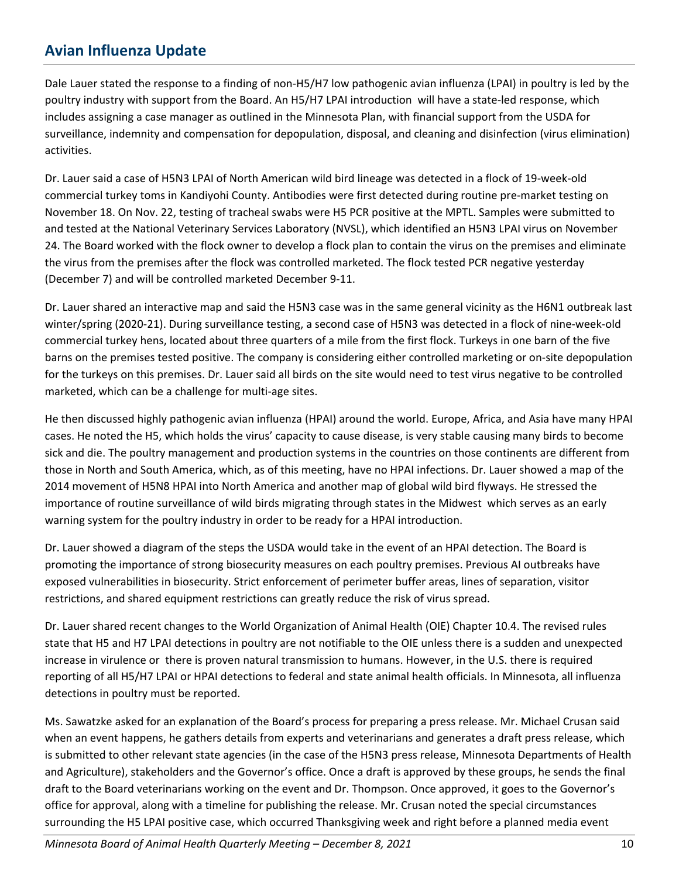## **Avian Influenza Update**

Dale Lauer stated the response to a finding of non-H5/H7 low pathogenic avian influenza (LPAI) in poultry is led by the poultry industry with support from the Board. An H5/H7 LPAI introduction will have a state-led response, which includes assigning a case manager as outlined in the Minnesota Plan, with financial support from the USDA for surveillance, indemnity and compensation for depopulation, disposal, and cleaning and disinfection (virus elimination) activities.

Dr. Lauer said a case of H5N3 LPAI of North American wild bird lineage was detected in a flock of 19-week-old commercial turkey toms in Kandiyohi County. Antibodies were first detected during routine pre-market testing on November 18. On Nov. 22, testing of tracheal swabs were H5 PCR positive at the MPTL. Samples were submitted to and tested at the National Veterinary Services Laboratory (NVSL), which identified an H5N3 LPAI virus on November 24. The Board worked with the flock owner to develop a flock plan to contain the virus on the premises and eliminate the virus from the premises after the flock was controlled marketed. The flock tested PCR negative yesterday (December 7) and will be controlled marketed December 9-11.

Dr. Lauer shared an interactive map and said the H5N3 case was in the same general vicinity as the H6N1 outbreak last winter/spring (2020-21). During surveillance testing, a second case of H5N3 was detected in a flock of nine-week-old commercial turkey hens, located about three quarters of a mile from the first flock. Turkeys in one barn of the five barns on the premises tested positive. The company is considering either controlled marketing or on-site depopulation for the turkeys on this premises. Dr. Lauer said all birds on the site would need to test virus negative to be controlled marketed, which can be a challenge for multi-age sites.

He then discussed highly pathogenic avian influenza (HPAI) around the world. Europe, Africa, and Asia have many HPAI cases. He noted the H5, which holds the virus' capacity to cause disease, is very stable causing many birds to become sick and die. The poultry management and production systems in the countries on those continents are different from those in North and South America, which, as of this meeting, have no HPAI infections. Dr. Lauer showed a map of the 2014 movement of H5N8 HPAI into North America and another map of global wild bird flyways. He stressed the importance of routine surveillance of wild birds migrating through states in the Midwest which serves as an early warning system for the poultry industry in order to be ready for a HPAI introduction.

Dr. Lauer showed a diagram of the steps the USDA would take in the event of an HPAI detection. The Board is promoting the importance of strong biosecurity measures on each poultry premises. Previous AI outbreaks have exposed vulnerabilities in biosecurity. Strict enforcement of perimeter buffer areas, lines of separation, visitor restrictions, and shared equipment restrictions can greatly reduce the risk of virus spread.

Dr. Lauer shared recent changes to the World Organization of Animal Health (OIE) Chapter 10.4. The revised rules state that H5 and H7 LPAI detections in poultry are not notifiable to the OIE unless there is a sudden and unexpected increase in virulence or there is proven natural transmission to humans. However, in the U.S. there is required reporting of all H5/H7 LPAI or HPAI detections to federal and state animal health officials. In Minnesota, all influenza detections in poultry must be reported.

Ms. Sawatzke asked for an explanation of the Board's process for preparing a press release. Mr. Michael Crusan said when an event happens, he gathers details from experts and veterinarians and generates a draft press release, which is submitted to other relevant state agencies (in the case of the H5N3 press release, Minnesota Departments of Health and Agriculture), stakeholders and the Governor's office. Once a draft is approved by these groups, he sends the final draft to the Board veterinarians working on the event and Dr. Thompson. Once approved, it goes to the Governor's office for approval, along with a timeline for publishing the release. Mr. Crusan noted the special circumstances surrounding the H5 LPAI positive case, which occurred Thanksgiving week and right before a planned media event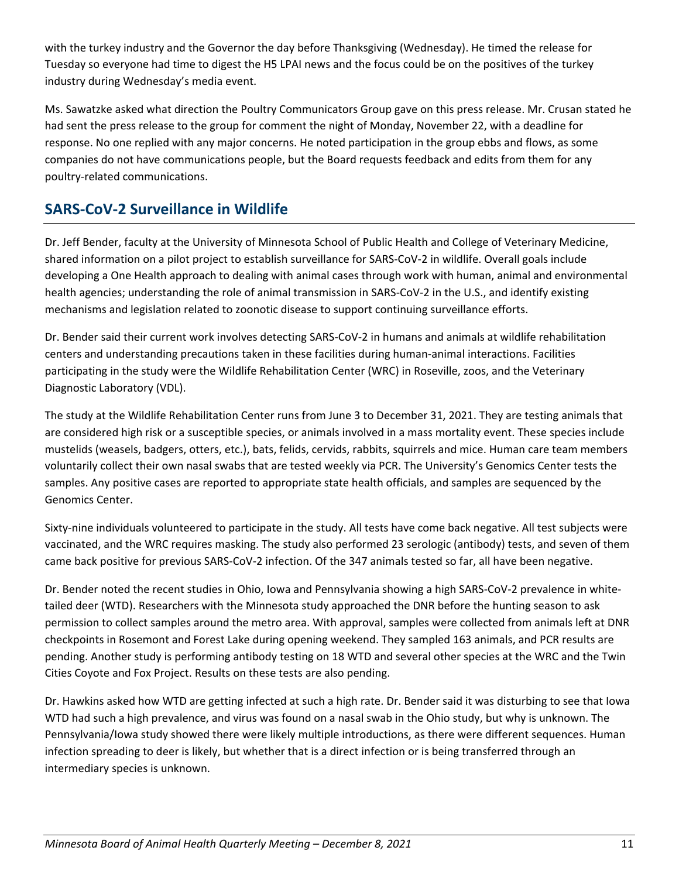with the turkey industry and the Governor the day before Thanksgiving (Wednesday). He timed the release for Tuesday so everyone had time to digest the H5 LPAI news and the focus could be on the positives of the turkey industry during Wednesday's media event.

Ms. Sawatzke asked what direction the Poultry Communicators Group gave on this press release. Mr. Crusan stated he had sent the press release to the group for comment the night of Monday, November 22, with a deadline for response. No one replied with any major concerns. He noted participation in the group ebbs and flows, as some companies do not have communications people, but the Board requests feedback and edits from them for any poultry-related communications.

# **SARS-CoV-2 Surveillance in Wildlife**

Dr. Jeff Bender, faculty at the University of Minnesota School of Public Health and College of Veterinary Medicine, shared information on a pilot project to establish surveillance for SARS-CoV-2 in wildlife. Overall goals include developing a One Health approach to dealing with animal cases through work with human, animal and environmental health agencies; understanding the role of animal transmission in SARS-CoV-2 in the U.S., and identify existing mechanisms and legislation related to zoonotic disease to support continuing surveillance efforts.

Dr. Bender said their current work involves detecting SARS-CoV-2 in humans and animals at wildlife rehabilitation centers and understanding precautions taken in these facilities during human-animal interactions. Facilities participating in the study were the Wildlife Rehabilitation Center (WRC) in Roseville, zoos, and the Veterinary Diagnostic Laboratory (VDL).

The study at the Wildlife Rehabilitation Center runs from June 3 to December 31, 2021. They are testing animals that are considered high risk or a susceptible species, or animals involved in a mass mortality event. These species include mustelids (weasels, badgers, otters, etc.), bats, felids, cervids, rabbits, squirrels and mice. Human care team members voluntarily collect their own nasal swabs that are tested weekly via PCR. The University's Genomics Center tests the samples. Any positive cases are reported to appropriate state health officials, and samples are sequenced by the Genomics Center.

Sixty-nine individuals volunteered to participate in the study. All tests have come back negative. All test subjects were vaccinated, and the WRC requires masking. The study also performed 23 serologic (antibody) tests, and seven of them came back positive for previous SARS-CoV-2 infection. Of the 347 animals tested so far, all have been negative.

Dr. Bender noted the recent studies in Ohio, Iowa and Pennsylvania showing a high SARS-CoV-2 prevalence in whitetailed deer (WTD). Researchers with the Minnesota study approached the DNR before the hunting season to ask permission to collect samples around the metro area. With approval, samples were collected from animals left at DNR checkpoints in Rosemont and Forest Lake during opening weekend. They sampled 163 animals, and PCR results are pending. Another study is performing antibody testing on 18 WTD and several other species at the WRC and the Twin Cities Coyote and Fox Project. Results on these tests are also pending.

Dr. Hawkins asked how WTD are getting infected at such a high rate. Dr. Bender said it was disturbing to see that Iowa WTD had such a high prevalence, and virus was found on a nasal swab in the Ohio study, but why is unknown. The Pennsylvania/Iowa study showed there were likely multiple introductions, as there were different sequences. Human infection spreading to deer is likely, but whether that is a direct infection or is being transferred through an intermediary species is unknown.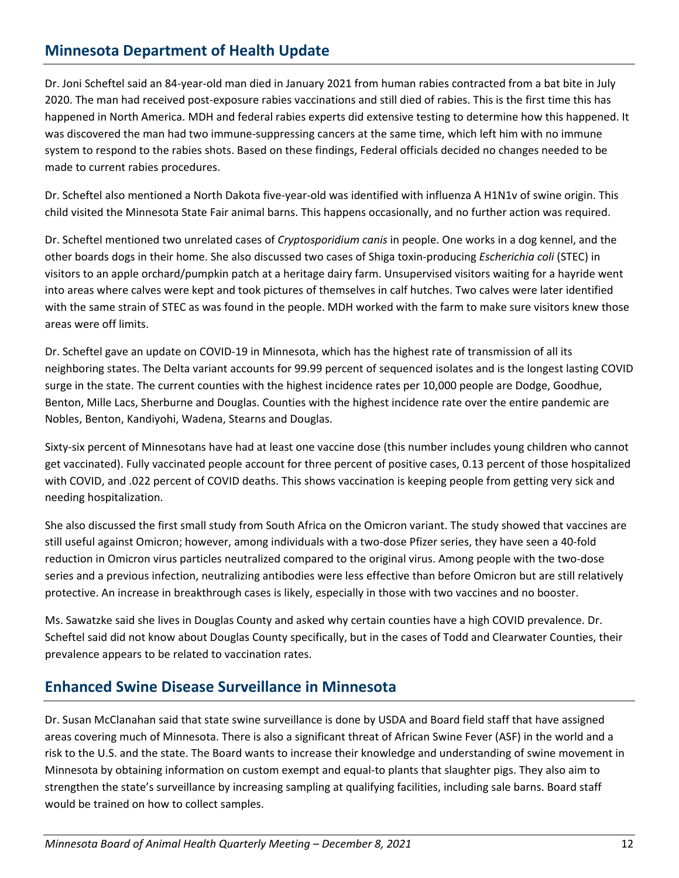## **Minnesota Department of Health Update**

Dr. Joni Scheftel said an 84-year-old man died in January 2021 from human rabies contracted from a bat bite in July 2020. The man had received post-exposure rabies vaccinations and still died of rabies. This is the first time this has happened in North America. MDH and federal rabies experts did extensive testing to determine how this happened. It was discovered the man had two immune-suppressing cancers at the same time, which left him with no immune system to respond to the rabies shots. Based on these findings, Federal officials decided no changes needed to be made to current rabies procedures.

Dr. Scheftel also mentioned a North Dakota five-year-old was identified with influenza A H1N1v of swine origin. This child visited the Minnesota State Fair animal barns. This happens occasionally, and no further action was required.

Dr. Scheftel mentioned two unrelated cases of *Cryptosporidium canis* in people. One works in a dog kennel, and the other boards dogs in their home. She also discussed two cases of Shiga toxin-producing *Escherichia coli* (STEC) in visitors to an apple orchard/pumpkin patch at a heritage dairy farm. Unsupervised visitors waiting for a hayride went into areas where calves were kept and took pictures of themselves in calf hutches. Two calves were later identified with the same strain of STEC as was found in the people. MDH worked with the farm to make sure visitors knew those areas were off limits.

Dr. Scheftel gave an update on COVID-19 in Minnesota, which has the highest rate of transmission of all its neighboring states. The Delta variant accounts for 99.99 percent of sequenced isolates and is the longest lasting COVID surge in the state. The current counties with the highest incidence rates per 10,000 people are Dodge, Goodhue, Benton, Mille Lacs, Sherburne and Douglas. Counties with the highest incidence rate over the entire pandemic are Nobles, Benton, Kandiyohi, Wadena, Stearns and Douglas.

Sixty-six percent of Minnesotans have had at least one vaccine dose (this number includes young children who cannot get vaccinated). Fully vaccinated people account for three percent of positive cases, 0.13 percent of those hospitalized with COVID, and .022 percent of COVID deaths. This shows vaccination is keeping people from getting very sick and needing hospitalization.

She also discussed the first small study from South Africa on the Omicron variant. The study showed that vaccines are still useful against Omicron; however, among individuals with a two-dose Pfizer series, they have seen a 40-fold reduction in Omicron virus particles neutralized compared to the original virus. Among people with the two-dose series and a previous infection, neutralizing antibodies were less effective than before Omicron but are still relatively protective. An increase in breakthrough cases is likely, especially in those with two vaccines and no booster.

Ms. Sawatzke said she lives in Douglas County and asked why certain counties have a high COVID prevalence. Dr. Scheftel said did not know about Douglas County specifically, but in the cases of Todd and Clearwater Counties, their prevalence appears to be related to vaccination rates.

#### **Enhanced Swine Disease Surveillance in Minnesota**

Dr. Susan McClanahan said that state swine surveillance is done by USDA and Board field staff that have assigned areas covering much of Minnesota. There is also a significant threat of African Swine Fever (ASF) in the world and a risk to the U.S. and the state. The Board wants to increase their knowledge and understanding of swine movement in Minnesota by obtaining information on custom exempt and equal-to plants that slaughter pigs. They also aim to strengthen the state's surveillance by increasing sampling at qualifying facilities, including sale barns. Board staff would be trained on how to collect samples.